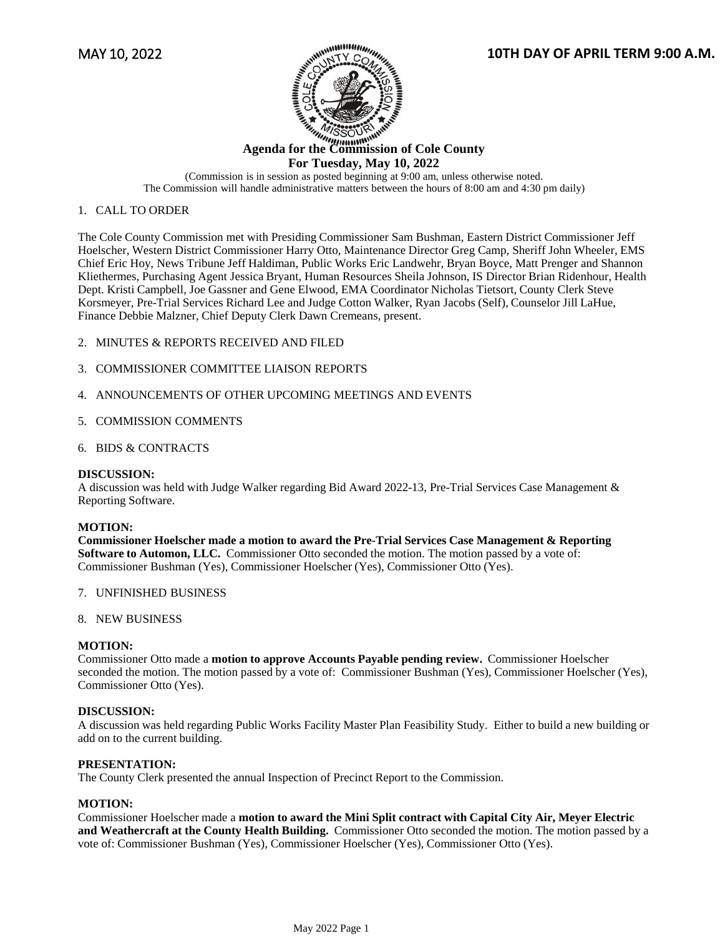



# **For Tuesday, May 10, 2022**

(Commission is in session as posted beginning at 9:00 am, unless otherwise noted. The Commission will handle administrative matters between the hours of 8:00 am and 4:30 pm daily)

## 1. CALL TO ORDER

The Cole County Commission met with Presiding Commissioner Sam Bushman, Eastern District Commissioner Jeff Hoelscher, Western District Commissioner Harry Otto, Maintenance Director Greg Camp, Sheriff John Wheeler, EMS Chief Eric Hoy, News Tribune Jeff Haldiman, Public Works Eric Landwehr, Bryan Boyce, Matt Prenger and Shannon Kliethermes, Purchasing Agent Jessica Bryant, Human Resources Sheila Johnson, IS Director Brian Ridenhour, Health Dept. Kristi Campbell, Joe Gassner and Gene Elwood, EMA Coordinator Nicholas Tietsort, County Clerk Steve Korsmeyer, Pre-Trial Services Richard Lee and Judge Cotton Walker, Ryan Jacobs (Self), Counselor Jill LaHue, Finance Debbie Malzner, Chief Deputy Clerk Dawn Cremeans, present.

- 2. MINUTES & REPORTS RECEIVED AND FILED
- 3. COMMISSIONER COMMITTEE LIAISON REPORTS
- 4. ANNOUNCEMENTS OF OTHER UPCOMING MEETINGS AND EVENTS
- 5. COMMISSION COMMENTS

### 6. BIDS & CONTRACTS

### **DISCUSSION:**

A discussion was held with Judge Walker regarding Bid Award 2022-13, Pre-Trial Services Case Management & Reporting Software.

### **MOTION:**

**Commissioner Hoelscher made a motion to award the Pre-Trial Services Case Management & Reporting Software to Automon, LLC.** Commissioner Otto seconded the motion. The motion passed by a vote of: Commissioner Bushman (Yes), Commissioner Hoelscher (Yes), Commissioner Otto (Yes).

- 7. UNFINISHED BUSINESS
- 8. NEW BUSINESS

### **MOTION:**

Commissioner Otto made a **motion to approve Accounts Payable pending review.** Commissioner Hoelscher seconded the motion. The motion passed by a vote of: Commissioner Bushman (Yes), Commissioner Hoelscher (Yes), Commissioner Otto (Yes).

### **DISCUSSION:**

A discussion was held regarding Public Works Facility Master Plan Feasibility Study. Either to build a new building or add on to the current building.

### **PRESENTATION:**

The County Clerk presented the annual Inspection of Precinct Report to the Commission.

### **MOTION:**

Commissioner Hoelscher made a **motion to award the Mini Split contract with Capital City Air, Meyer Electric and Weathercraft at the County Health Building.** Commissioner Otto seconded the motion. The motion passed by a vote of: Commissioner Bushman (Yes), Commissioner Hoelscher (Yes), Commissioner Otto (Yes).